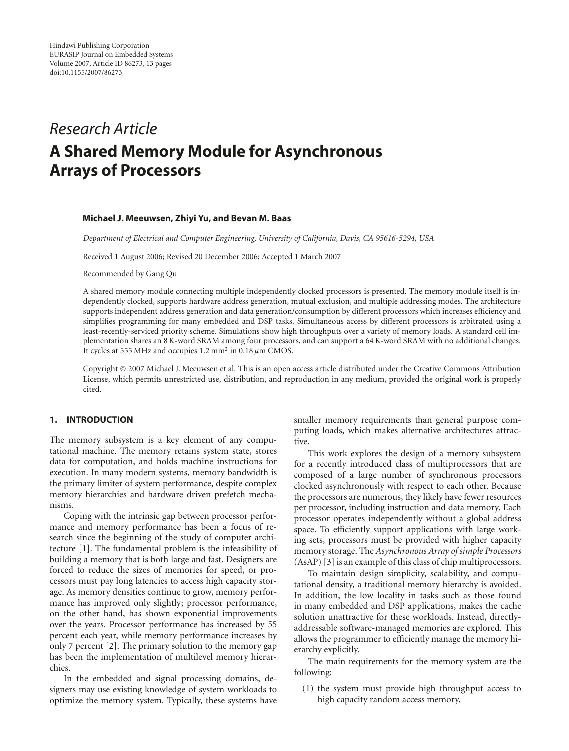# *Research Article* **A Shared Memory Module for Asynchronous Arrays of Processors**

## **Michael J. Meeuwsen, Zhiyi Yu, and Bevan M. Baas**

*Department of Electrical and Computer Engineering, University of California, Davis, CA 95616-5294, USA*

Received 1 August 2006; Revised 20 December 2006; Accepted 1 March 2007

Recommended by Gang Qu

A shared memory module connecting multiple independently clocked processors is presented. The memory module itself is independently clocked, supports hardware address generation, mutual exclusion, and multiple addressing modes. The architecture supports independent address generation and data generation/consumption by different processors which increases efficiency and simplifies programming for many embedded and DSP tasks. Simultaneous access by different processors is arbitrated using a least-recently-serviced priority scheme. Simulations show high throughputs over a variety of memory loads. A standard cell implementation shares an 8 K-word SRAM among four processors, and can support a 64 K-word SRAM with no additional changes. It cycles at 555 MHz and occupies 1.2 mm2 in 0.18 *µ*m CMOS.

Copyright © 2007 Michael J. Meeuwsen et al. This is an open access article distributed under the Creative Commons Attribution License, which permits unrestricted use, distribution, and reproduction in any medium, provided the original work is properly cited.

# **1. INTRODUCTION**

The memory subsystem is a key element of any computational machine. The memory retains system state, stores data for computation, and holds machine instructions for execution. In many modern systems, memory bandwidth is the primary limiter of system performance, despite complex memory hierarchies and hardware driven prefetch mechanisms.

Coping with the intrinsic gap between processor performance and memory performance has been a focus of research since the beginning of the study of computer architecture [\[1](#page-12-1)]. The fundamental problem is the infeasibility of building a memory that is both large and fast. Designers are forced to reduce the sizes of memories for speed, or processors must pay long latencies to access high capacity storage. As memory densities continue to grow, memory performance has improved only slightly; processor performance, on the other hand, has shown exponential improvements over the years. Processor performance has increased by 55 percent each year, while memory performance increases by only 7 percent [\[2\]](#page-12-2). The primary solution to the memory gap has been the implementation of multilevel memory hierarchies.

In the embedded and signal processing domains, designers may use existing knowledge of system workloads to optimize the memory system. Typically, these systems have smaller memory requirements than general purpose computing loads, which makes alternative architectures attractive.

This work explores the design of a memory subsystem for a recently introduced class of multiprocessors that are composed of a large number of synchronous processors clocked asynchronously with respect to each other. Because the processors are numerous, they likely have fewer resources per processor, including instruction and data memory. Each processor operates independently without a global address space. To efficiently support applications with large working sets, processors must be provided with higher capacity memory storage. The *Asynchronous Array of simple Processors* (AsAP) [\[3\]](#page-12-3) is an example of this class of chip multiprocessors.

To maintain design simplicity, scalability, and computational density, a traditional memory hierarchy is avoided. In addition, the low locality in tasks such as those found in many embedded and DSP applications, makes the cache solution unattractive for these workloads. Instead, directlyaddressable software-managed memories are explored. This allows the programmer to efficiently manage the memory hierarchy explicitly.

The main requirements for the memory system are the following:

(1) the system must provide high throughput access to high capacity random access memory,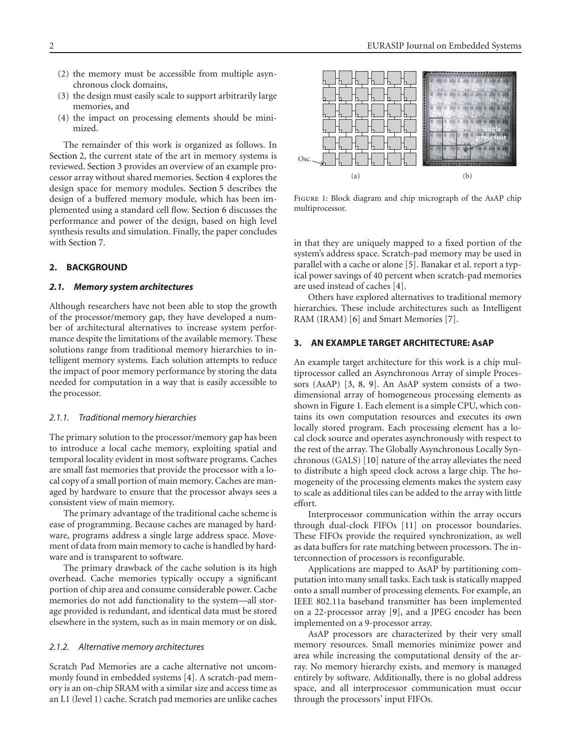- (2) the memory must be accessible from multiple asynchronous clock domains,
- (3) the design must easily scale to support arbitrarily large memories, and
- (4) the impact on processing elements should be minimized.

The remainder of this work is organized as follows. In [Section 2,](#page-1-0) the current state of the art in memory systems is reviewed. [Section 3](#page-1-1) provides an overview of an example processor array without shared memories. [Section 4](#page-2-0) explores the design space for memory modules. [Section 5](#page-4-0) describes the design of a buffered memory module, which has been implemented using a standard cell flow. [Section 6](#page-6-0) discusses the performance and power of the design, based on high level synthesis results and simulation. Finally, the paper concludes with [Section 7.](#page-11-0)

# <span id="page-1-0"></span>**2. BACKGROUND**

# *2.1. Memory system architectures*

Although researchers have not been able to stop the growth of the processor/memory gap, they have developed a number of architectural alternatives to increase system performance despite the limitations of the available memory. These solutions range from traditional memory hierarchies to intelligent memory systems. Each solution attempts to reduce the impact of poor memory performance by storing the data needed for computation in a way that is easily accessible to the processor.

#### *2.1.1. Traditional memory hierarchies*

The primary solution to the processor/memory gap has been to introduce a local cache memory, exploiting spatial and temporal locality evident in most software programs. Caches are small fast memories that provide the processor with a local copy of a small portion of main memory. Caches are managed by hardware to ensure that the processor always sees a consistent view of main memory.

The primary advantage of the traditional cache scheme is ease of programming. Because caches are managed by hardware, programs address a single large address space. Movement of data from main memory to cache is handled by hardware and is transparent to software.

The primary drawback of the cache solution is its high overhead. Cache memories typically occupy a significant portion of chip area and consume considerable power. Cache memories do not add functionality to the system—all storage provided is redundant, and identical data must be stored elsewhere in the system, such as in main memory or on disk.

# *2.1.2. Alternative memory architectures*

Scratch Pad Memories are a cache alternative not uncommonly found in embedded systems [\[4\]](#page-12-4). A scratch-pad memory is an on-chip SRAM with a similar size and access time as an L1 (level 1) cache. Scratch pad memories are unlike caches



<span id="page-1-2"></span>FIGURE 1: Block diagram and chip micrograph of the AsAP chip multiprocessor.

in that they are uniquely mapped to a fixed portion of the system's address space. Scratch-pad memory may be used in parallel with a cache or alone [\[5\]](#page-12-5). Banakar et al. report a typical power savings of 40 percent when scratch-pad memories are used instead of caches [\[4\]](#page-12-4).

Others have explored alternatives to traditional memory hierarchies. These include architectures such as Intelligent RAM (IRAM) [\[6\]](#page-12-6) and Smart Memories [\[7\]](#page-12-7).

# <span id="page-1-1"></span>**3. AN EXAMPLE TARGET ARCHITECTURE: AsAP**

An example target architecture for this work is a chip multiprocessor called an Asynchronous Array of simple Processors (AsAP) [\[3,](#page-12-3) [8,](#page-12-8) [9\]](#page-12-9). An AsAP system consists of a twodimensional array of homogeneous processing elements as shown in [Figure 1.](#page-1-2) Each element is a simple CPU, which contains its own computation resources and executes its own locally stored program. Each processing element has a local clock source and operates asynchronously with respect to the rest of the array. The Globally Asynchronous Locally Synchronous (GALS) [\[10](#page-12-10)] nature of the array alleviates the need to distribute a high speed clock across a large chip. The homogeneity of the processing elements makes the system easy to scale as additional tiles can be added to the array with little effort.

Interprocessor communication within the array occurs through dual-clock FIFOs [\[11](#page-12-11)] on processor boundaries. These FIFOs provide the required synchronization, as well as data buffers for rate matching between processors. The interconnection of processors is reconfigurable.

Applications are mapped to AsAP by partitioning computation into many small tasks. Each task is statically mapped onto a small number of processing elements. For example, an IEEE 802.11a baseband transmitter has been implemented on a 22-processor array [\[9\]](#page-12-9), and a JPEG encoder has been implemented on a 9-processor array.

AsAP processors are characterized by their very small memory resources. Small memories minimize power and area while increasing the computational density of the array. No memory hierarchy exists, and memory is managed entirely by software. Additionally, there is no global address space, and all interprocessor communication must occur through the processors' input FIFOs.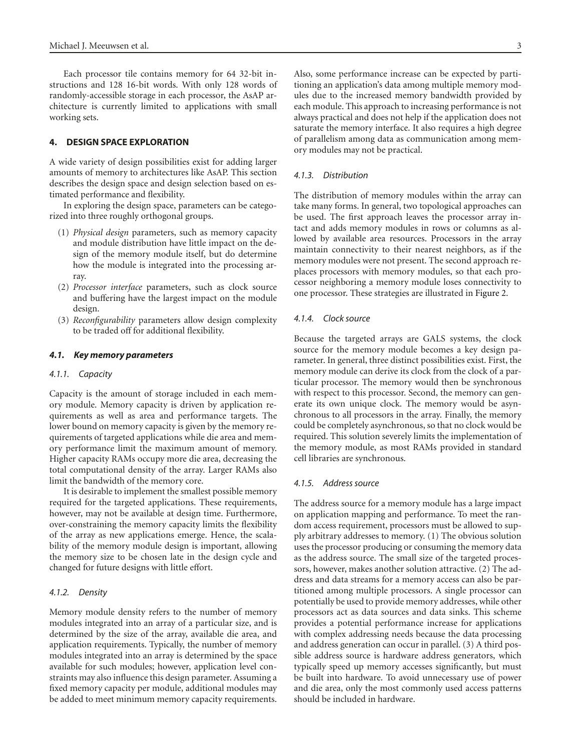Each processor tile contains memory for 64 32-bit instructions and 128 16-bit words. With only 128 words of randomly-accessible storage in each processor, the AsAP architecture is currently limited to applications with small working sets.

# <span id="page-2-0"></span>**4. DESIGN SPACE EXPLORATION**

A wide variety of design possibilities exist for adding larger amounts of memory to architectures like AsAP. This section describes the design space and design selection based on estimated performance and flexibility.

In exploring the design space, parameters can be categorized into three roughly orthogonal groups.

- (1) *Physical design* parameters, such as memory capacity and module distribution have little impact on the design of the memory module itself, but do determine how the module is integrated into the processing array.
- (2) *Processor interface* parameters, such as clock source and buffering have the largest impact on the module design.
- (3) *Reconfigurability* parameters allow design complexity to be traded off for additional flexibility.

### *4.1. Key memory parameters*

# *4.1.1. Capacity*

Capacity is the amount of storage included in each memory module. Memory capacity is driven by application requirements as well as area and performance targets. The lower bound on memory capacity is given by the memory requirements of targeted applications while die area and memory performance limit the maximum amount of memory. Higher capacity RAMs occupy more die area, decreasing the total computational density of the array. Larger RAMs also limit the bandwidth of the memory core.

It is desirable to implement the smallest possible memory required for the targeted applications. These requirements, however, may not be available at design time. Furthermore, over-constraining the memory capacity limits the flexibility of the array as new applications emerge. Hence, the scalability of the memory module design is important, allowing the memory size to be chosen late in the design cycle and changed for future designs with little effort.

# *4.1.2. Density*

Memory module density refers to the number of memory modules integrated into an array of a particular size, and is determined by the size of the array, available die area, and application requirements. Typically, the number of memory modules integrated into an array is determined by the space available for such modules; however, application level constraints may also influence this design parameter. Assuming a fixed memory capacity per module, additional modules may be added to meet minimum memory capacity requirements.

Also, some performance increase can be expected by partitioning an application's data among multiple memory modules due to the increased memory bandwidth provided by each module. This approach to increasing performance is not always practical and does not help if the application does not saturate the memory interface. It also requires a high degree of parallelism among data as communication among memory modules may not be practical.

#### *4.1.3. Distribution*

The distribution of memory modules within the array can take many forms. In general, two topological approaches can be used. The first approach leaves the processor array intact and adds memory modules in rows or columns as allowed by available area resources. Processors in the array maintain connectivity to their nearest neighbors, as if the memory modules were not present. The second approach replaces processors with memory modules, so that each processor neighboring a memory module loses connectivity to one processor. These strategies are illustrated in [Figure 2.](#page-3-0)

# *4.1.4. Clock source*

Because the targeted arrays are GALS systems, the clock source for the memory module becomes a key design parameter. In general, three distinct possibilities exist. First, the memory module can derive its clock from the clock of a particular processor. The memory would then be synchronous with respect to this processor. Second, the memory can generate its own unique clock. The memory would be asynchronous to all processors in the array. Finally, the memory could be completely asynchronous, so that no clock would be required. This solution severely limits the implementation of the memory module, as most RAMs provided in standard cell libraries are synchronous.

# <span id="page-2-1"></span>*4.1.5. Address source*

The address source for a memory module has a large impact on application mapping and performance. To meet the random access requirement, processors must be allowed to supply arbitrary addresses to memory. (1) The obvious solution uses the processor producing or consuming the memory data as the address source. The small size of the targeted processors, however, makes another solution attractive. (2) The address and data streams for a memory access can also be partitioned among multiple processors. A single processor can potentially be used to provide memory addresses, while other processors act as data sources and data sinks. This scheme provides a potential performance increase for applications with complex addressing needs because the data processing and address generation can occur in parallel. (3) A third possible address source is hardware address generators, which typically speed up memory accesses significantly, but must be built into hardware. To avoid unnecessary use of power and die area, only the most commonly used access patterns should be included in hardware.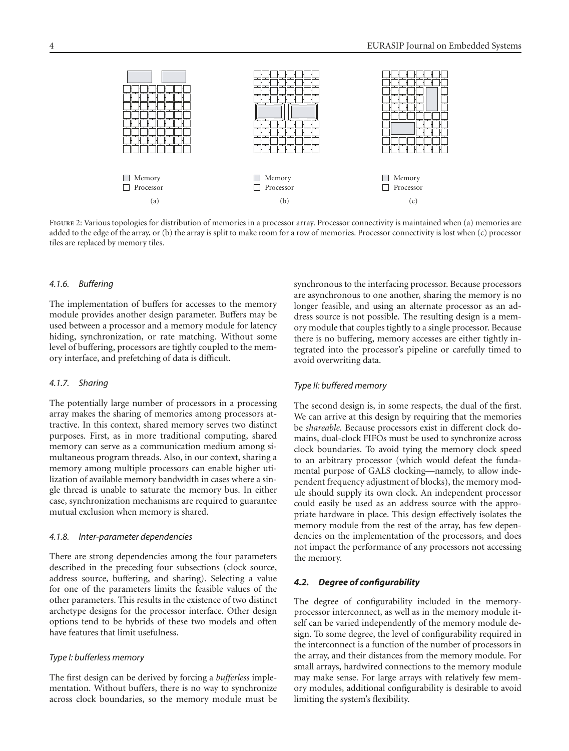

<span id="page-3-0"></span>Figure 2: Various topologies for distribution of memories in a processor array. Processor connectivity is maintained when (a) memories are added to the edge of the array, or (b) the array is split to make room for a row of memories. Processor connectivity is lost when (c) processor tiles are replaced by memory tiles.

#### *4.1.6. Buffering*

The implementation of buffers for accesses to the memory module provides another design parameter. Buffers may be used between a processor and a memory module for latency hiding, synchronization, or rate matching. Without some level of buffering, processors are tightly coupled to the memory interface, and prefetching of data is difficult.

# *4.1.7. Sharing*

The potentially large number of processors in a processing array makes the sharing of memories among processors attractive. In this context, shared memory serves two distinct purposes. First, as in more traditional computing, shared memory can serve as a communication medium among simultaneous program threads. Also, in our context, sharing a memory among multiple processors can enable higher utilization of available memory bandwidth in cases where a single thread is unable to saturate the memory bus. In either case, synchronization mechanisms are required to guarantee mutual exclusion when memory is shared.

# *4.1.8. Inter-parameter dependencies*

There are strong dependencies among the four parameters described in the preceding four subsections (clock source, address source, buffering, and sharing). Selecting a value for one of the parameters limits the feasible values of the other parameters. This results in the existence of two distinct archetype designs for the processor interface. Other design options tend to be hybrids of these two models and often have features that limit usefulness.

# *Type I: bufferless memory*

The first design can be derived by forcing a *bufferless* implementation. Without buffers, there is no way to synchronize across clock boundaries, so the memory module must be synchronous to the interfacing processor. Because processors are asynchronous to one another, sharing the memory is no longer feasible, and using an alternate processor as an address source is not possible. The resulting design is a memory module that couples tightly to a single processor. Because there is no buffering, memory accesses are either tightly integrated into the processor's pipeline or carefully timed to avoid overwriting data.

# *Type II: buffered memory*

The second design is, in some respects, the dual of the first. We can arrive at this design by requiring that the memories be *shareable.* Because processors exist in different clock domains, dual-clock FIFOs must be used to synchronize across clock boundaries. To avoid tying the memory clock speed to an arbitrary processor (which would defeat the fundamental purpose of GALS clocking—namely, to allow independent frequency adjustment of blocks), the memory module should supply its own clock. An independent processor could easily be used as an address source with the appropriate hardware in place. This design effectively isolates the memory module from the rest of the array, has few dependencies on the implementation of the processors, and does not impact the performance of any processors not accessing the memory.

#### *4.2. Degree of configurability*

The degree of configurability included in the memoryprocessor interconnect, as well as in the memory module itself can be varied independently of the memory module design. To some degree, the level of configurability required in the interconnect is a function of the number of processors in the array, and their distances from the memory module. For small arrays, hardwired connections to the memory module may make sense. For large arrays with relatively few memory modules, additional configurability is desirable to avoid limiting the system's flexibility.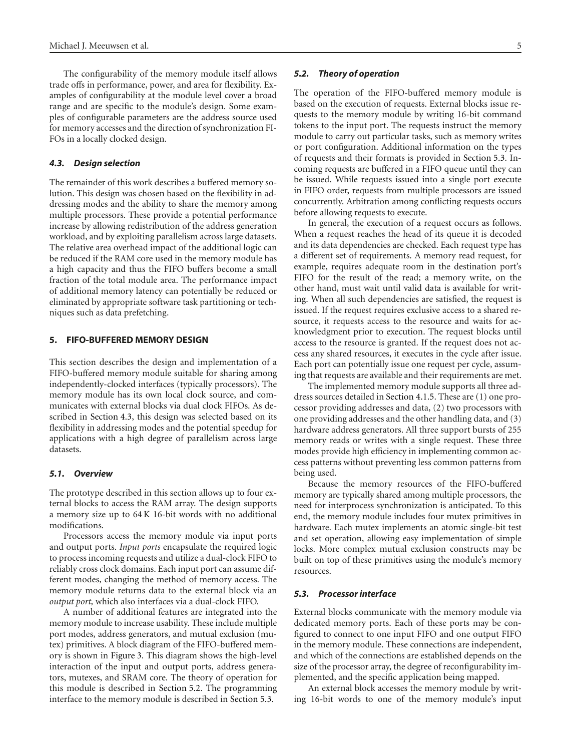The configurability of the memory module itself allows trade offs in performance, power, and area for flexibility. Examples of configurability at the module level cover a broad range and are specific to the module's design. Some examples of configurable parameters are the address source used for memory accesses and the direction of synchronization FI-FOs in a locally clocked design.

# <span id="page-4-1"></span>*4.3. Design selection*

The remainder of this work describes a buffered memory solution. This design was chosen based on the flexibility in addressing modes and the ability to share the memory among multiple processors. These provide a potential performance increase by allowing redistribution of the address generation workload, and by exploiting parallelism across large datasets. The relative area overhead impact of the additional logic can be reduced if the RAM core used in the memory module has a high capacity and thus the FIFO buffers become a small fraction of the total module area. The performance impact of additional memory latency can potentially be reduced or eliminated by appropriate software task partitioning or techniques such as data prefetching.

# <span id="page-4-0"></span>**5. FIFO-BUFFERED MEMORY DESIGN**

This section describes the design and implementation of a FIFO-buffered memory module suitable for sharing among independently-clocked interfaces (typically processors). The memory module has its own local clock source, and communicates with external blocks via dual clock FIFOs. As described in [Section 4.3,](#page-4-1) this design was selected based on its flexibility in addressing modes and the potential speedup for applications with a high degree of parallelism across large datasets.

## *5.1. Overview*

The prototype described in this section allows up to four external blocks to access the RAM array. The design supports a memory size up to 64 K 16-bit words with no additional modifications.

Processors access the memory module via input ports and output ports. *Input ports* encapsulate the required logic to process incoming requests and utilize a dual-clock FIFO to reliably cross clock domains. Each input port can assume different modes, changing the method of memory access. The memory module returns data to the external block via an *output port,* which also interfaces via a dual-clock FIFO.

A number of additional features are integrated into the memory module to increase usability. These include multiple port modes, address generators, and mutual exclusion (mutex) primitives. A block diagram of the FIFO-buffered memory is shown in [Figure 3.](#page-5-0) This diagram shows the high-level interaction of the input and output ports, address generators, mutexes, and SRAM core. The theory of operation for this module is described in [Section 5.2.](#page-4-2) The programming interface to the memory module is described in [Section 5.3.](#page-4-3)

#### <span id="page-4-2"></span>*5.2. Theory of operation*

The operation of the FIFO-buffered memory module is based on the execution of requests. External blocks issue requests to the memory module by writing 16-bit command tokens to the input port. The requests instruct the memory module to carry out particular tasks, such as memory writes or port configuration. Additional information on the types of requests and their formats is provided in [Section 5.3.](#page-4-3) Incoming requests are buffered in a FIFO queue until they can be issued. While requests issued into a single port execute in FIFO order, requests from multiple processors are issued concurrently. Arbitration among conflicting requests occurs before allowing requests to execute.

In general, the execution of a request occurs as follows. When a request reaches the head of its queue it is decoded and its data dependencies are checked. Each request type has a different set of requirements. A memory read request, for example, requires adequate room in the destination port's FIFO for the result of the read; a memory write, on the other hand, must wait until valid data is available for writing. When all such dependencies are satisfied, the request is issued. If the request requires exclusive access to a shared resource, it requests access to the resource and waits for acknowledgment prior to execution. The request blocks until access to the resource is granted. If the request does not access any shared resources, it executes in the cycle after issue. Each port can potentially issue one request per cycle, assuming that requests are available and their requirements are met.

The implemented memory module supports all three address sources detailed in [Section 4.1.5.](#page-2-1) These are (1) one processor providing addresses and data, (2) two processors with one providing addresses and the other handling data, and (3) hardware address generators. All three support bursts of 255 memory reads or writes with a single request. These three modes provide high efficiency in implementing common access patterns without preventing less common patterns from being used.

Because the memory resources of the FIFO-buffered memory are typically shared among multiple processors, the need for interprocess synchronization is anticipated. To this end, the memory module includes four mutex primitives in hardware. Each mutex implements an atomic single-bit test and set operation, allowing easy implementation of simple locks. More complex mutual exclusion constructs may be built on top of these primitives using the module's memory resources.

# <span id="page-4-3"></span>*5.3. Processor interface*

External blocks communicate with the memory module via dedicated memory ports. Each of these ports may be configured to connect to one input FIFO and one output FIFO in the memory module. These connections are independent, and which of the connections are established depends on the size of the processor array, the degree of reconfigurability implemented, and the specific application being mapped.

An external block accesses the memory module by writing 16-bit words to one of the memory module's input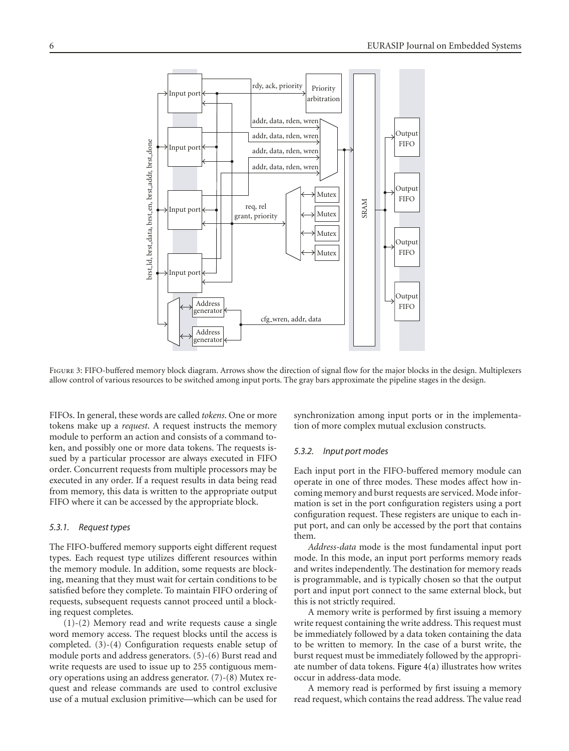

<span id="page-5-0"></span>FIGURE 3: FIFO-buffered memory block diagram. Arrows show the direction of signal flow for the major blocks in the design. Multiplexers allow control of various resources to be switched among input ports. The gray bars approximate the pipeline stages in the design.

FIFOs. In general, these words are called *tokens*. One or more tokens make up a *request*. A request instructs the memory module to perform an action and consists of a command token, and possibly one or more data tokens. The requests issued by a particular processor are always executed in FIFO order. Concurrent requests from multiple processors may be executed in any order. If a request results in data being read from memory, this data is written to the appropriate output FIFO where it can be accessed by the appropriate block.

#### *5.3.1. Request types*

The FIFO-buffered memory supports eight different request types. Each request type utilizes different resources within the memory module. In addition, some requests are blocking, meaning that they must wait for certain conditions to be satisfied before they complete. To maintain FIFO ordering of requests, subsequent requests cannot proceed until a blocking request completes.

(1)-(2) Memory read and write requests cause a single word memory access. The request blocks until the access is completed. (3)-(4) Configuration requests enable setup of module ports and address generators. (5)-(6) Burst read and write requests are used to issue up to 255 contiguous memory operations using an address generator. (7)-(8) Mutex request and release commands are used to control exclusive use of a mutual exclusion primitive—which can be used for

synchronization among input ports or in the implementation of more complex mutual exclusion constructs.

## *5.3.2. Input port modes*

Each input port in the FIFO-buffered memory module can operate in one of three modes. These modes affect how incoming memory and burst requests are serviced. Mode information is set in the port configuration registers using a port configuration request. These registers are unique to each input port, and can only be accessed by the port that contains them.

*Address-data* mode is the most fundamental input port mode. In this mode, an input port performs memory reads and writes independently. The destination for memory reads is programmable, and is typically chosen so that the output port and input port connect to the same external block, but this is not strictly required.

A memory write is performed by first issuing a memory write request containing the write address. This request must be immediately followed by a data token containing the data to be written to memory. In the case of a burst write, the burst request must be immediately followed by the appropriate number of data tokens. [Figure 4\(a\)](#page-6-1) illustrates how writes occur in address-data mode.

A memory read is performed by first issuing a memory read request, which contains the read address. The value read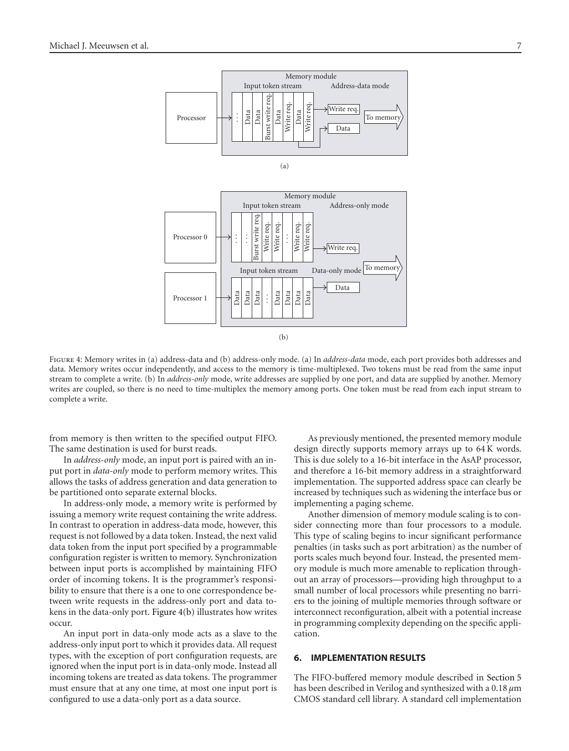<span id="page-6-1"></span>

<span id="page-6-2"></span>Figure 4: Memory writes in (a) address-data and (b) address-only mode. (a) In *address-data* mode, each port provides both addresses and data. Memory writes occur independently, and access to the memory is time-multiplexed. Two tokens must be read from the same input stream to complete a write. (b) In *address-only* mode, write addresses are supplied by one port, and data are supplied by another. Memory writes are coupled, so there is no need to time-multiplex the memory among ports. One token must be read from each input stream to complete a write.

from memory is then written to the specified output FIFO. The same destination is used for burst reads.

In *address-only* mode, an input port is paired with an input port in *data-only* mode to perform memory writes. This allows the tasks of address generation and data generation to be partitioned onto separate external blocks.

In address-only mode, a memory write is performed by issuing a memory write request containing the write address. In contrast to operation in address-data mode, however, this request is not followed by a data token. Instead, the next valid data token from the input port specified by a programmable configuration register is written to memory. Synchronization between input ports is accomplished by maintaining FIFO order of incoming tokens. It is the programmer's responsibility to ensure that there is a one to one correspondence between write requests in the address-only port and data tokens in the data-only port. [Figure 4\(b\)](#page-6-2) illustrates how writes occur.

An input port in data-only mode acts as a slave to the address-only input port to which it provides data. All request types, with the exception of port configuration requests, are ignored when the input port is in data-only mode. Instead all incoming tokens are treated as data tokens. The programmer must ensure that at any one time, at most one input port is configured to use a data-only port as a data source.

As previously mentioned, the presented memory module design directly supports memory arrays up to 64 K words. This is due solely to a 16-bit interface in the AsAP processor, and therefore a 16-bit memory address in a straightforward implementation. The supported address space can clearly be increased by techniques such as widening the interface bus or implementing a paging scheme.

Another dimension of memory module scaling is to consider connecting more than four processors to a module. This type of scaling begins to incur significant performance penalties (in tasks such as port arbitration) as the number of ports scales much beyond four. Instead, the presented memory module is much more amenable to replication throughout an array of processors—providing high throughput to a small number of local processors while presenting no barriers to the joining of multiple memories through software or interconnect reconfiguration, albeit with a potential increase in programming complexity depending on the specific application.

## <span id="page-6-0"></span>**6. IMPLEMENTATION RESULTS**

The FIFO-buffered memory module described in [Section 5](#page-4-0) has been described in Verilog and synthesized with a 0.18 *µ*m CMOS standard cell library. A standard cell implementation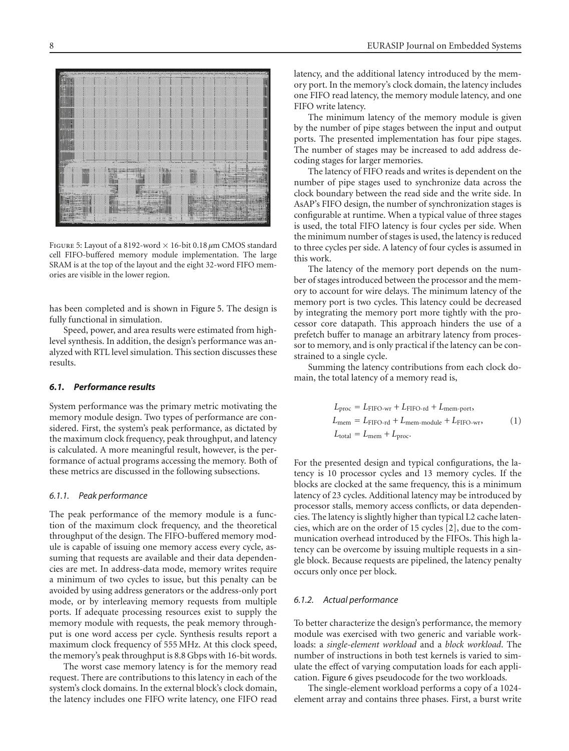

Figure 5: Layout of a 8192-word *<sup>×</sup>* 16-bit 0.18 *<sup>µ</sup>*m CMOS standard cell FIFO-buffered memory module implementation. The large SRAM is at the top of the layout and the eight 32-word FIFO memories are visible in the lower region.

<span id="page-7-0"></span>has been completed and is shown in [Figure 5.](#page-7-0) The design is fully functional in simulation.

Speed, power, and area results were estimated from highlevel synthesis. In addition, the design's performance was analyzed with RTL level simulation. This section discusses these results.

## *6.1. Performance results*

System performance was the primary metric motivating the memory module design. Two types of performance are considered. First, the system's peak performance, as dictated by the maximum clock frequency, peak throughput, and latency is calculated. A more meaningful result, however, is the performance of actual programs accessing the memory. Both of these metrics are discussed in the following subsections.

# *6.1.1. Peak performance*

The peak performance of the memory module is a function of the maximum clock frequency, and the theoretical throughput of the design. The FIFO-buffered memory module is capable of issuing one memory access every cycle, assuming that requests are available and their data dependencies are met. In address-data mode, memory writes require a minimum of two cycles to issue, but this penalty can be avoided by using address generators or the address-only port mode, or by interleaving memory requests from multiple ports. If adequate processing resources exist to supply the memory module with requests, the peak memory throughput is one word access per cycle. Synthesis results report a maximum clock frequency of 555 MHz. At this clock speed, the memory's peak throughput is 8.8 Gbps with 16-bit words.

The worst case memory latency is for the memory read request. There are contributions to this latency in each of the system's clock domains. In the external block's clock domain, the latency includes one FIFO write latency, one FIFO read

latency, and the additional latency introduced by the memory port. In the memory's clock domain, the latency includes one FIFO read latency, the memory module latency, and one FIFO write latency.

The minimum latency of the memory module is given by the number of pipe stages between the input and output ports. The presented implementation has four pipe stages. The number of stages may be increased to add address decoding stages for larger memories.

The latency of FIFO reads and writes is dependent on the number of pipe stages used to synchronize data across the clock boundary between the read side and the write side. In AsAP's FIFO design, the number of synchronization stages is configurable at runtime. When a typical value of three stages is used, the total FIFO latency is four cycles per side. When the minimum number of stages is used, the latency is reduced to three cycles per side. A latency of four cycles is assumed in this work.

The latency of the memory port depends on the number of stages introduced between the processor and the memory to account for wire delays. The minimum latency of the memory port is two cycles. This latency could be decreased by integrating the memory port more tightly with the processor core datapath. This approach hinders the use of a prefetch buffer to manage an arbitrary latency from processor to memory, and is only practical if the latency can be constrained to a single cycle.

Summing the latency contributions from each clock domain, the total latency of a memory read is,

$$
L_{\text{proc}} = L_{\text{FIFO-vr}} + L_{\text{FIFO-rd}} + L_{\text{mem-port}},
$$
  
\n
$$
L_{\text{mem}} = L_{\text{FIFO-rd}} + L_{\text{mem-module}} + L_{\text{FIFO-vr}},
$$
  
\n
$$
L_{\text{total}} = L_{\text{mem}} + L_{\text{proc}}.
$$
  
\n(1)

For the presented design and typical configurations, the latency is 10 processor cycles and 13 memory cycles. If the blocks are clocked at the same frequency, this is a minimum latency of 23 cycles. Additional latency may be introduced by processor stalls, memory access conflicts, or data dependencies. The latency is slightly higher than typical L2 cache latencies, which are on the order of 15 cycles [\[2](#page-12-2)], due to the communication overhead introduced by the FIFOs. This high latency can be overcome by issuing multiple requests in a single block. Because requests are pipelined, the latency penalty occurs only once per block.

# *6.1.2. Actual performance*

To better characterize the design's performance, the memory module was exercised with two generic and variable workloads: a *single-element workload* and a *block workload*. The number of instructions in both test kernels is varied to simulate the effect of varying computation loads for each application. [Figure 6](#page-8-0) gives pseudocode for the two workloads.

The single-element workload performs a copy of a 1024 element array and contains three phases. First, a burst write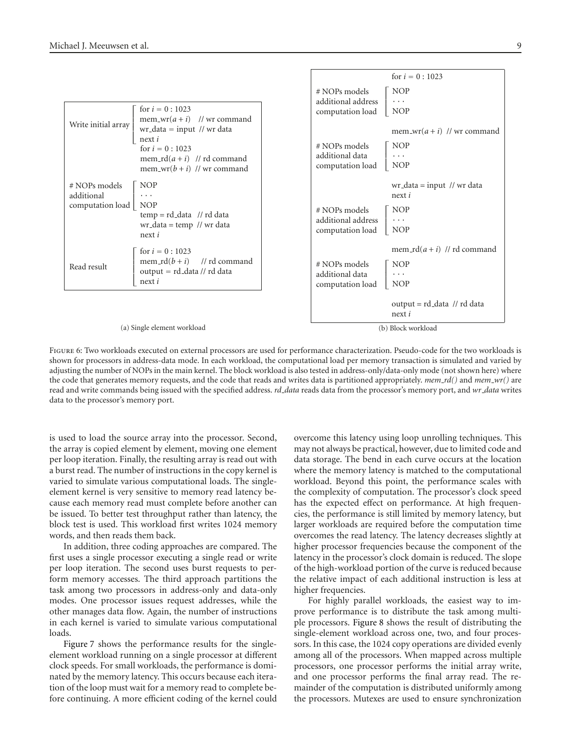| Write initial array                             | for $i = 0$ : 1023<br>mem_wr( $a + i$ ) // wr command<br>wr_data = input // wr data<br>next i<br>for $i = 0$ : 1023<br>mem_rd( $a + i$ ) // rd command<br>mem_wr( $b + i$ ) // wr command |
|-------------------------------------------------|-------------------------------------------------------------------------------------------------------------------------------------------------------------------------------------------|
| # NOPs models<br>additional<br>computation load | <b>NOP</b><br><b>NOP</b><br>temp = rd_data // rd data<br>$wr_d$ data = temp // wr data<br>next <i>i</i>                                                                                   |
| Read result                                     | for $i = 0$ : 1023<br>mem_rd( $b + i$ ) // rd command<br>$output = rd_data // rd data$<br>next i                                                                                          |



(a) Single element workload

(b) Block workload

<span id="page-8-0"></span>Figure 6: Two workloads executed on external processors are used for performance characterization. Pseudo-code for the two workloads is shown for processors in address-data mode. In each workload, the computational load per memory transaction is simulated and varied by adjusting the number of NOPs in the main kernel. The block workload is also tested in address-only/data-only mode (not shown here) where the code that generates memory requests, and the code that reads and writes data is partitioned appropriately. *mem rd()* and *mem wr()* are read and write commands being issued with the specified address. *rd data* reads data from the processor's memory port, and *wr data* writes data to the processor's memory port.

is used to load the source array into the processor. Second, the array is copied element by element, moving one element per loop iteration. Finally, the resulting array is read out with a burst read. The number of instructions in the copy kernel is varied to simulate various computational loads. The singleelement kernel is very sensitive to memory read latency because each memory read must complete before another can be issued. To better test throughput rather than latency, the block test is used. This workload first writes 1024 memory words, and then reads them back.

In addition, three coding approaches are compared. The first uses a single processor executing a single read or write per loop iteration. The second uses burst requests to perform memory accesses. The third approach partitions the task among two processors in address-only and data-only modes. One processor issues request addresses, while the other manages data flow. Again, the number of instructions in each kernel is varied to simulate various computational loads.

[Figure 7](#page-9-0) shows the performance results for the singleelement workload running on a single processor at different clock speeds. For small workloads, the performance is dominated by the memory latency. This occurs because each iteration of the loop must wait for a memory read to complete before continuing. A more efficient coding of the kernel could

overcome this latency using loop unrolling techniques. This may not always be practical, however, due to limited code and data storage. The bend in each curve occurs at the location where the memory latency is matched to the computational workload. Beyond this point, the performance scales with the complexity of computation. The processor's clock speed has the expected effect on performance. At high frequencies, the performance is still limited by memory latency, but larger workloads are required before the computation time overcomes the read latency. The latency decreases slightly at higher processor frequencies because the component of the latency in the processor's clock domain is reduced. The slope of the high-workload portion of the curve is reduced because the relative impact of each additional instruction is less at higher frequencies.

For highly parallel workloads, the easiest way to improve performance is to distribute the task among multiple processors. [Figure 8](#page-9-1) shows the result of distributing the single-element workload across one, two, and four processors. In this case, the 1024 copy operations are divided evenly among all of the processors. When mapped across multiple processors, one processor performs the initial array write, and one processor performs the final array read. The remainder of the computation is distributed uniformly among the processors. Mutexes are used to ensure synchronization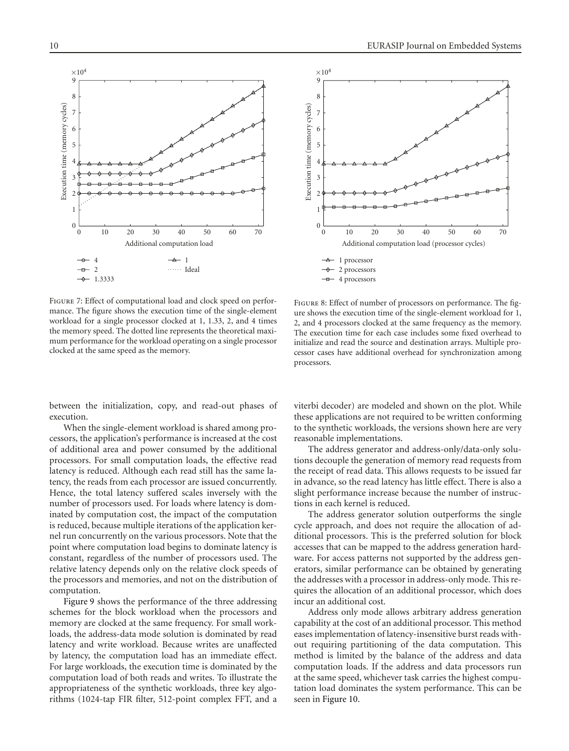



<span id="page-9-0"></span>Figure 7: Effect of computational load and clock speed on performance. The figure shows the execution time of the single-element workload for a single processor clocked at 1, 1.33, 2, and 4 times the memory speed. The dotted line represents the theoretical maximum performance for the workload operating on a single processor clocked at the same speed as the memory.

<span id="page-9-1"></span>FIGURE 8: Effect of number of processors on performance. The figure shows the execution time of the single-element workload for 1, 2, and 4 processors clocked at the same frequency as the memory. The execution time for each case includes some fixed overhead to initialize and read the source and destination arrays. Multiple processor cases have additional overhead for synchronization among processors.

between the initialization, copy, and read-out phases of execution.

When the single-element workload is shared among processors, the application's performance is increased at the cost of additional area and power consumed by the additional processors. For small computation loads, the effective read latency is reduced. Although each read still has the same latency, the reads from each processor are issued concurrently. Hence, the total latency suffered scales inversely with the number of processors used. For loads where latency is dominated by computation cost, the impact of the computation is reduced, because multiple iterations of the application kernel run concurrently on the various processors. Note that the point where computation load begins to dominate latency is constant, regardless of the number of processors used. The relative latency depends only on the relative clock speeds of the processors and memories, and not on the distribution of computation.

[Figure 9](#page-10-0) shows the performance of the three addressing schemes for the block workload when the processors and memory are clocked at the same frequency. For small workloads, the address-data mode solution is dominated by read latency and write workload. Because writes are unaffected by latency, the computation load has an immediate effect. For large workloads, the execution time is dominated by the computation load of both reads and writes. To illustrate the appropriateness of the synthetic workloads, three key algorithms (1024-tap FIR filter, 512-point complex FFT, and a

viterbi decoder) are modeled and shown on the plot. While these applications are not required to be written conforming to the synthetic workloads, the versions shown here are very reasonable implementations.

The address generator and address-only/data-only solutions decouple the generation of memory read requests from the receipt of read data. This allows requests to be issued far in advance, so the read latency has little effect. There is also a slight performance increase because the number of instructions in each kernel is reduced.

The address generator solution outperforms the single cycle approach, and does not require the allocation of additional processors. This is the preferred solution for block accesses that can be mapped to the address generation hardware. For access patterns not supported by the address generators, similar performance can be obtained by generating the addresses with a processor in address-only mode. This requires the allocation of an additional processor, which does incur an additional cost.

Address only mode allows arbitrary address generation capability at the cost of an additional processor. This method eases implementation of latency-insensitive burst reads without requiring partitioning of the data computation. This method is limited by the balance of the address and data computation loads. If the address and data processors run at the same speed, whichever task carries the highest computation load dominates the system performance. This can be seen in [Figure 10.](#page-10-1)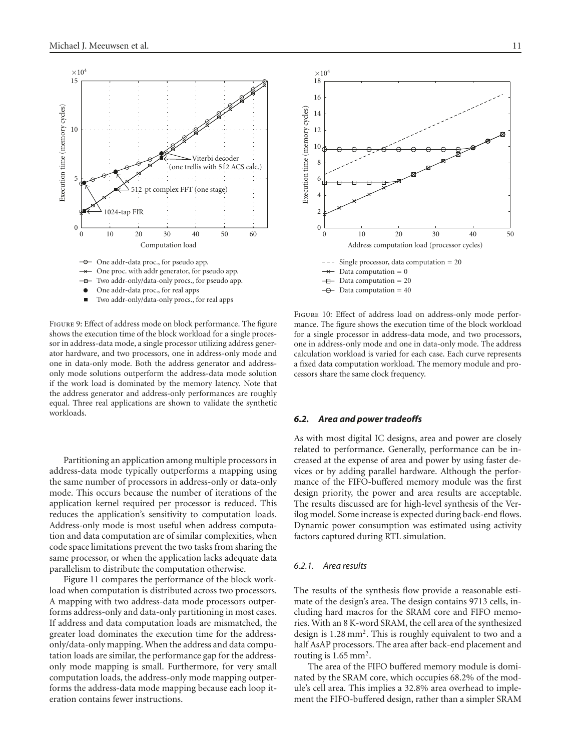

<span id="page-10-0"></span>FIGURE 9: Effect of address mode on block performance. The figure shows the execution time of the block workload for a single processor in address-data mode, a single processor utilizing address generator hardware, and two processors, one in address-only mode and one in data-only mode. Both the address generator and addressonly mode solutions outperform the address-data mode solution if the work load is dominated by the memory latency. Note that the address generator and address-only performances are roughly equal. Three real applications are shown to validate the synthetic workloads.

Partitioning an application among multiple processors in address-data mode typically outperforms a mapping using the same number of processors in address-only or data-only mode. This occurs because the number of iterations of the application kernel required per processor is reduced. This reduces the application's sensitivity to computation loads. Address-only mode is most useful when address computation and data computation are of similar complexities, when code space limitations prevent the two tasks from sharing the same processor, or when the application lacks adequate data parallelism to distribute the computation otherwise.

[Figure 11](#page-11-1) compares the performance of the block workload when computation is distributed across two processors. A mapping with two address-data mode processors outperforms address-only and data-only partitioning in most cases. If address and data computation loads are mismatched, the greater load dominates the execution time for the addressonly/data-only mapping. When the address and data computation loads are similar, the performance gap for the addressonly mode mapping is small. Furthermore, for very small computation loads, the address-only mode mapping outperforms the address-data mode mapping because each loop iteration contains fewer instructions.



<span id="page-10-1"></span>Figure 10: Effect of address load on address-only mode performance. The figure shows the execution time of the block workload for a single processor in address-data mode, and two processors, one in address-only mode and one in data-only mode. The address calculation workload is varied for each case. Each curve represents a fixed data computation workload. The memory module and processors share the same clock frequency.

#### *6.2. Area and power tradeoffs*

As with most digital IC designs, area and power are closely related to performance. Generally, performance can be increased at the expense of area and power by using faster devices or by adding parallel hardware. Although the performance of the FIFO-buffered memory module was the first design priority, the power and area results are acceptable. The results discussed are for high-level synthesis of the Verilog model. Some increase is expected during back-end flows. Dynamic power consumption was estimated using activity factors captured during RTL simulation.

# *6.2.1. Area results*

The results of the synthesis flow provide a reasonable estimate of the design's area. The design contains 9713 cells, including hard macros for the SRAM core and FIFO memories. With an 8 K-word SRAM, the cell area of the synthesized design is 1.28 mm2. This is roughly equivalent to two and a half AsAP processors. The area after back-end placement and routing is  $1.65$  mm<sup>2</sup>.

The area of the FIFO buffered memory module is dominated by the SRAM core, which occupies 68.2% of the module's cell area. This implies a 32.8% area overhead to implement the FIFO-buffered design, rather than a simpler SRAM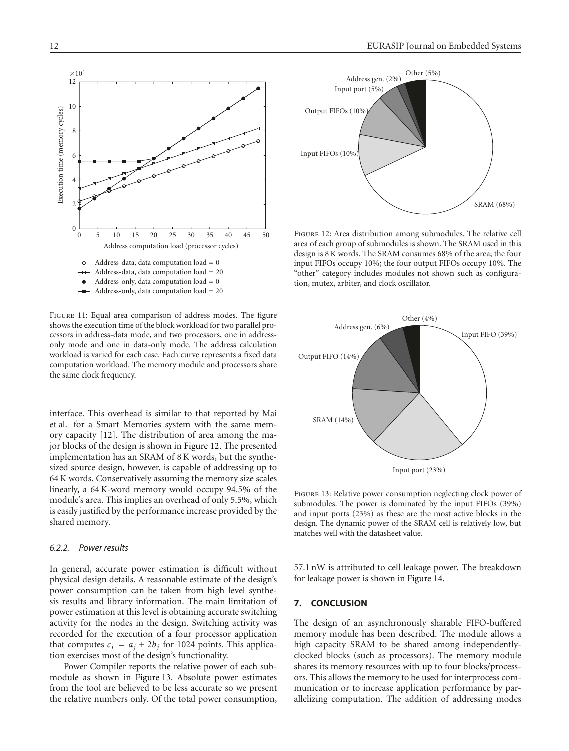

<span id="page-11-1"></span>Figure 11: Equal area comparison of address modes. The figure shows the execution time of the block workload for two parallel processors in address-data mode, and two processors, one in addressonly mode and one in data-only mode. The address calculation workload is varied for each case. Each curve represents a fixed data computation workload. The memory module and processors share the same clock frequency.

interface. This overhead is similar to that reported by Mai et al. for a Smart Memories system with the same memory capacity [\[12](#page-12-12)]. The distribution of area among the major blocks of the design is shown in [Figure 12.](#page-11-2) The presented implementation has an SRAM of 8 K words, but the synthesized source design, however, is capable of addressing up to 64 K words. Conservatively assuming the memory size scales linearly, a 64 K-word memory would occupy 94.5% of the module's area. This implies an overhead of only 5.5%, which is easily justified by the performance increase provided by the shared memory.

# *6.2.2. Power results*

In general, accurate power estimation is difficult without physical design details. A reasonable estimate of the design's power consumption can be taken from high level synthesis results and library information. The main limitation of power estimation at this level is obtaining accurate switching activity for the nodes in the design. Switching activity was recorded for the execution of a four processor application that computes  $c_j = a_j + 2b_j$  for 1024 points. This application exercises most of the design's functionality.

Power Compiler reports the relative power of each submodule as shown in [Figure 13.](#page-11-3) Absolute power estimates from the tool are believed to be less accurate so we present the relative numbers only. Of the total power consumption,



<span id="page-11-2"></span>Figure 12: Area distribution among submodules. The relative cell area of each group of submodules is shown. The SRAM used in this design is 8 K words. The SRAM consumes 68% of the area; the four input FIFOs occupy 10%; the four output FIFOs occupy 10%. The "other" category includes modules not shown such as configuration, mutex, arbiter, and clock oscillator.



<span id="page-11-3"></span>Figure 13: Relative power consumption neglecting clock power of submodules. The power is dominated by the input FIFOs (39%) and input ports (23%) as these are the most active blocks in the design. The dynamic power of the SRAM cell is relatively low, but matches well with the datasheet value.

57.1 nW is attributed to cell leakage power. The breakdown for leakage power is shown in [Figure 14.](#page-12-13)

## <span id="page-11-0"></span>**7. CONCLUSION**

The design of an asynchronously sharable FIFO-buffered memory module has been described. The module allows a high capacity SRAM to be shared among independentlyclocked blocks (such as processors). The memory module shares its memory resources with up to four blocks/processors. This allows the memory to be used for interprocess communication or to increase application performance by parallelizing computation. The addition of addressing modes